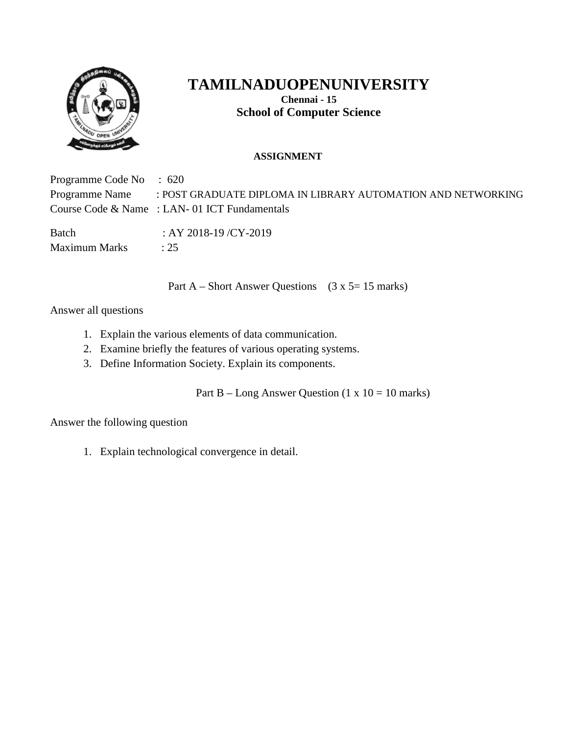

**Chennai - 15 School of Computer Science**

### **ASSIGNMENT**

Programme Code No : 620 Programme Name : POST GRADUATE DIPLOMA IN LIBRARY AUTOMATION AND NETWORKING Course Code & Name : LAN- 01 ICT Fundamentals Batch : AY 2018-19 / CY-2019 Maximum Marks : 25

Part A – Short Answer Questions ( $3 \times 5= 15$  marks)

Answer all questions

- 1. Explain the various elements of data communication.
- 2. Examine briefly the features of various operating systems.
- 3. Define Information Society. Explain its components.

Part B – Long Answer Question (1 x  $10 = 10$  marks)

Answer the following question

1. Explain technological convergence in detail.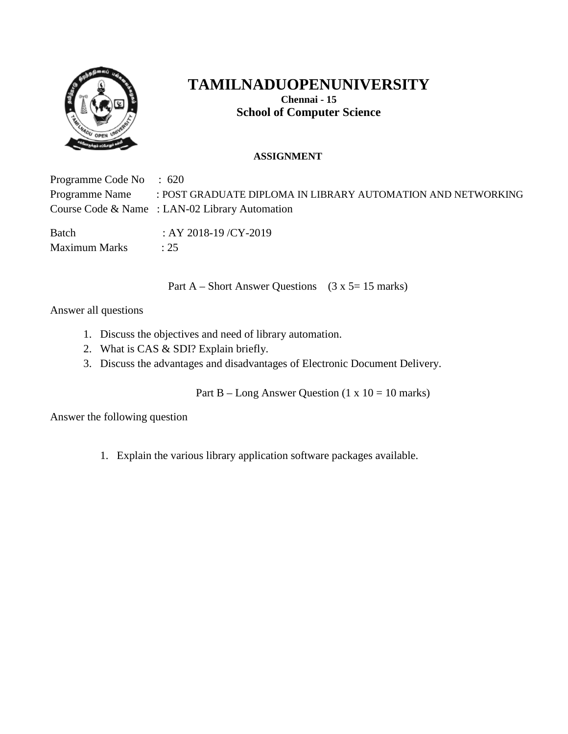

**Chennai - 15 School of Computer Science**

### **ASSIGNMENT**

Programme Code No : 620 Programme Name : POST GRADUATE DIPLOMA IN LIBRARY AUTOMATION AND NETWORKING Course Code & Name : LAN-02 Library Automation Batch : AY 2018-19 / CY-2019 Maximum Marks : 25

Part A – Short Answer Questions ( $3 \times 5= 15$  marks)

Answer all questions

- 1. Discuss the objectives and need of library automation.
- 2. What is CAS & SDI? Explain briefly.
- 3. Discuss the advantages and disadvantages of Electronic Document Delivery.

Part B – Long Answer Question  $(1 \times 10 = 10 \text{ marks})$ 

Answer the following question

1. Explain the various library application software packages available.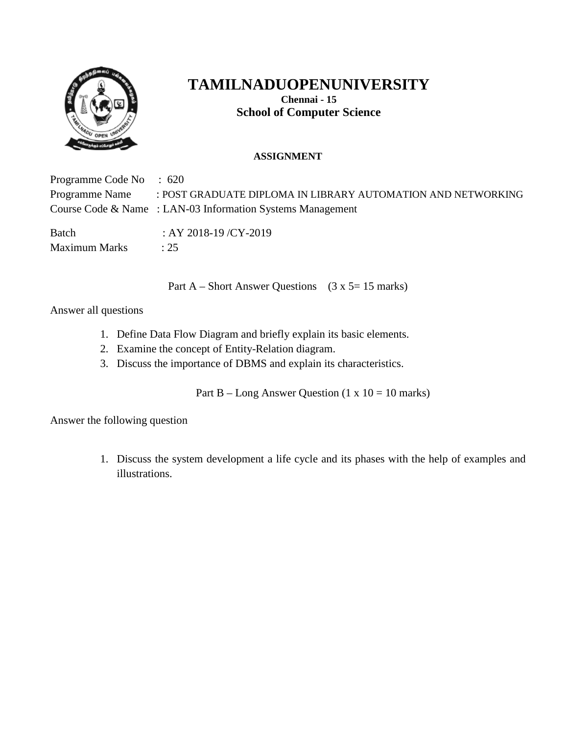

**Chennai - 15 School of Computer Science**

### **ASSIGNMENT**

Programme Code No : 620 Programme Name : POST GRADUATE DIPLOMA IN LIBRARY AUTOMATION AND NETWORKING Course Code & Name : LAN-03 Information Systems Management Batch : AY 2018-19 / CY-2019 Maximum Marks : 25

Part A – Short Answer Questions ( $3 \times 5= 15$  marks)

Answer all questions

- 1. Define Data Flow Diagram and briefly explain its basic elements.
- 2. Examine the concept of Entity-Relation diagram.
- 3. Discuss the importance of DBMS and explain its characteristics.

Part B – Long Answer Question (1 x  $10 = 10$  marks)

Answer the following question

1. Discuss the system development a life cycle and its phases with the help of examples and illustrations.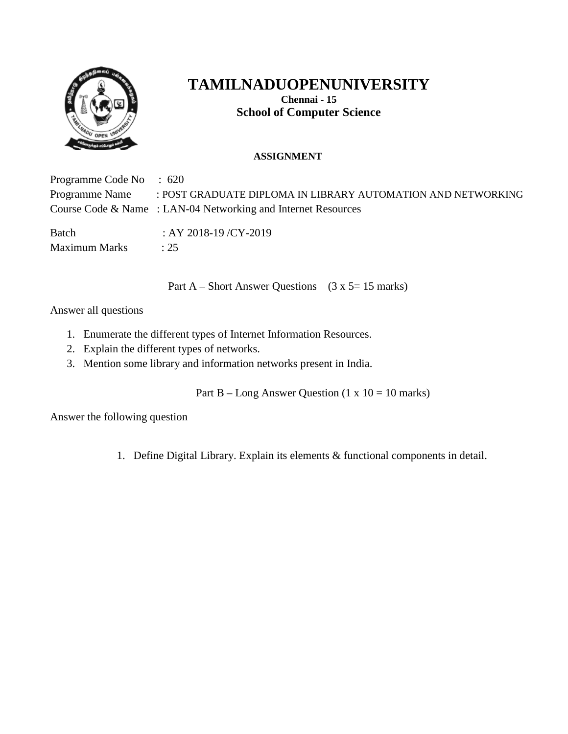

**Chennai - 15 School of Computer Science**

### **ASSIGNMENT**

Programme Code No : 620 Programme Name : POST GRADUATE DIPLOMA IN LIBRARY AUTOMATION AND NETWORKING Course Code & Name : LAN-04 Networking and Internet Resources Batch : AY 2018-19 / CY-2019 Maximum Marks : 25

Part A – Short Answer Questions ( $3 \times 5= 15$  marks)

Answer all questions

- 1. Enumerate the different types of Internet Information Resources.
- 2. Explain the different types of networks.
- 3. Mention some library and information networks present in India.

Part B – Long Answer Question (1 x  $10 = 10$  marks)

Answer the following question

1. Define Digital Library. Explain its elements & functional components in detail.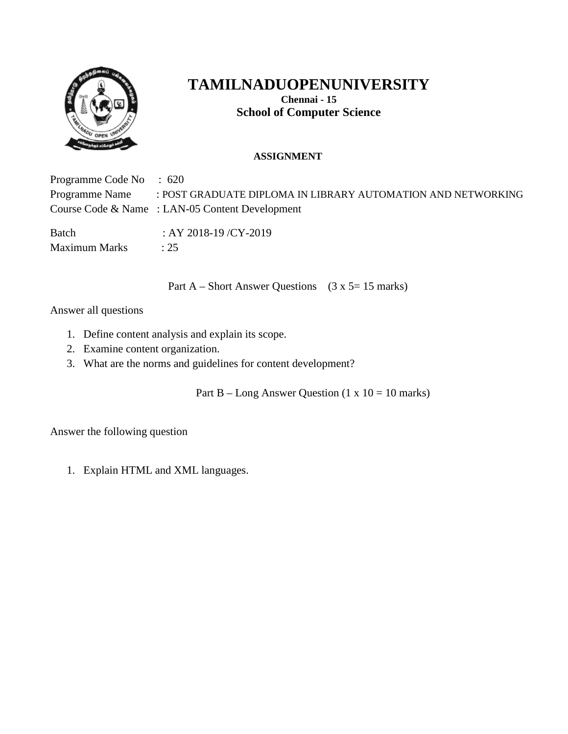

**Chennai - 15 School of Computer Science**

### **ASSIGNMENT**

Programme Code No : 620 Programme Name : POST GRADUATE DIPLOMA IN LIBRARY AUTOMATION AND NETWORKING Course Code & Name : LAN-05 Content Development Batch : AY 2018-19 / CY-2019 Maximum Marks : 25

Part A – Short Answer Questions ( $3 \times 5= 15$  marks)

Answer all questions

- 1. Define content analysis and explain its scope.
- 2. Examine content organization.
- 3. What are the norms and guidelines for content development?

Part B – Long Answer Question (1 x  $10 = 10$  marks)

Answer the following question

1. Explain HTML and XML languages.